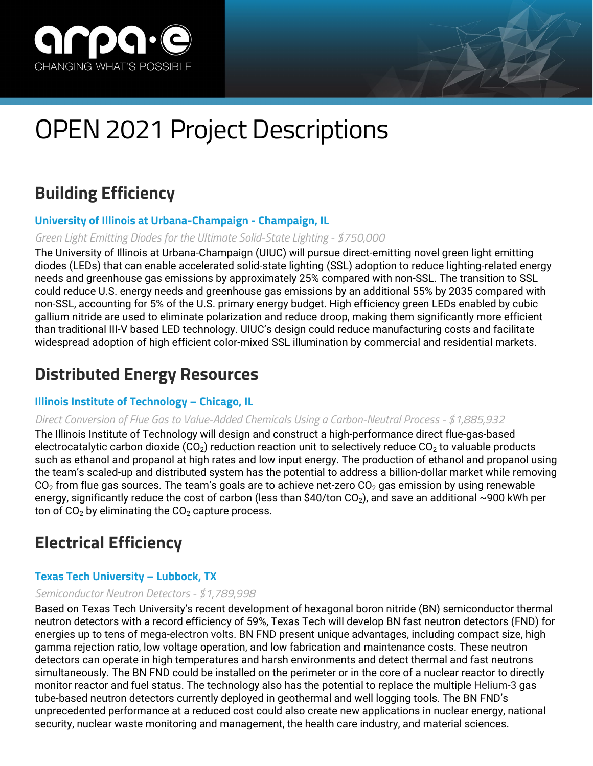

# OPEN 2021 Project Descriptions

# **Building Efficiency**

# **University of Illinois at Urbana-Champaign - Champaign, IL**

# *Green Light Emitting Diodes for the Ultimate Solid-State Lighting - \$750,000*

The University of Illinois at Urbana-Champaign (UIUC) will pursue direct-emitting novel green light emitting diodes (LEDs) that can enable accelerated solid-state lighting (SSL) adoption to reduce lighting-related energy needs and greenhouse gas emissions by approximately 25% compared with non-SSL. The transition to SSL could reduce U.S. energy needs and greenhouse gas emissions by an additional 55% by 2035 compared with non-SSL, accounting for 5% of the U.S. primary energy budget. High efficiency green LEDs enabled by cubic gallium nitride are used to eliminate polarization and reduce droop, making them significantly more efficient than traditional III-V based LED technology. UIUC's design could reduce manufacturing costs and facilitate widespread adoption of high efficient color-mixed SSL illumination by commercial and residential markets.

# **Distributed Energy Resources**

# **Illinois Institute of Technology – Chicago, IL**

# *Direct Conversion of Flue Gas to Value-Added Chemicals Using a Carbon-Neutral Process - \$1,885,932*

The Illinois Institute of Technology will design and construct a high-performance direct flue-gas-based electrocatalytic carbon dioxide ( $CO<sub>2</sub>$ ) reduction reaction unit to selectively reduce  $CO<sub>2</sub>$  to valuable products such as ethanol and propanol at high rates and low input energy. The production of ethanol and propanol using the team's scaled-up and distributed system has the potential to address a billion-dollar market while removing  $CO<sub>2</sub>$  from flue gas sources. The team's goals are to achieve net-zero  $CO<sub>2</sub>$  gas emission by using renewable energy, significantly reduce the cost of carbon (less than \$40/ton CO<sub>2</sub>), and save an additional ~900 kWh per ton of  $CO<sub>2</sub>$  by eliminating the  $CO<sub>2</sub>$  capture process.

# **Electrical Efficiency**

# **Texas Tech University – Lubbock, TX**

# *Semiconductor Neutron Detectors - \$1,789,998*

Based on Texas Tech University's recent development of hexagonal boron nitride (BN) semiconductor thermal neutron detectors with a record efficiency of 59%, Texas Tech will develop BN fast neutron detectors (FND) for energies up to tens of mega-electron volts. BN FND present unique advantages, including compact size, high gamma rejection ratio, low voltage operation, and low fabrication and maintenance costs. These neutron detectors can operate in high temperatures and harsh environments and detect thermal and fast neutrons simultaneously. The BN FND could be installed on the perimeter or in the core of a nuclear reactor to directly monitor reactor and fuel status. The technology also has the potential to replace the multiple Helium-3 gas tube-based neutron detectors currently deployed in geothermal and well logging tools. The BN FND's unprecedented performance at a reduced cost could also create new applications in nuclear energy, national security, nuclear waste monitoring and management, the health care industry, and material sciences.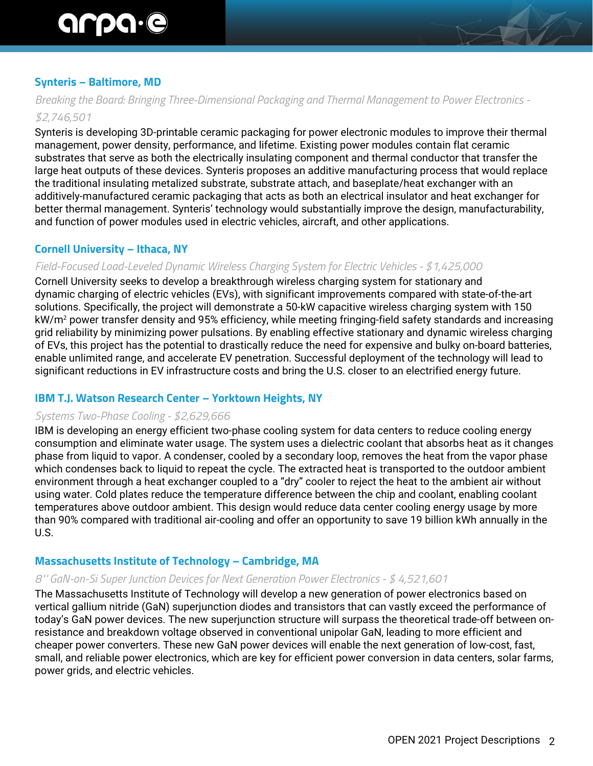# **Synteris – Baltimore, MD**

# *Breaking the Board: Bringing Three-Dimensional Packaging and Thermal Management to Power Electronics - \$2,746,501*

Synteris is developing 3D-printable ceramic packaging for power electronic modules to improve their thermal management, power density, performance, and lifetime. Existing power modules contain flat ceramic substrates that serve as both the electrically insulating component and thermal conductor that transfer the large heat outputs of these devices. Synteris proposes an additive manufacturing process that would replace the traditional insulating metalized substrate, substrate attach, and baseplate/heat exchanger with an additively-manufactured ceramic packaging that acts as both an electrical insulator and heat exchanger for better thermal management. Synteris' technology would substantially improve the design, manufacturability, and function of power modules used in electric vehicles, aircraft, and other applications.

#### **Cornell University – Ithaca, NY**

#### *Field-Focused Load-Leveled Dynamic Wireless Charging System for Electric Vehicles - \$1,425,000*

Cornell University seeks to develop a breakthrough wireless charging system for stationary and dynamic charging of electric vehicles (EVs), with significant improvements compared with state-of-the-art solutions. Specifically, the project will demonstrate a 50-kW capacitive wireless charging system with 150 kW/m<sup>2</sup> power transfer density and 95% efficiency, while meeting fringing-field safety standards and increasing grid reliability by minimizing power pulsations. By enabling effective stationary and dynamic wireless charging of EVs, this project has the potential to drastically reduce the need for expensive and bulky on-board batteries, enable unlimited range, and accelerate EV penetration. Successful deployment of the technology will lead to significant reductions in EV infrastructure costs and bring the U.S. closer to an electrified energy future.

#### **IBM T.J. Watson Research Center – Yorktown Heights, NY**

#### *Systems Two-Phase Cooling - \$2,629,666*

IBM is developing an energy efficient two-phase cooling system for data centers to reduce cooling energy consumption and eliminate water usage. The system uses a dielectric coolant that absorbs heat as it changes phase from liquid to vapor. A condenser, cooled by a secondary loop, removes the heat from the vapor phase which condenses back to liquid to repeat the cycle. The extracted heat is transported to the outdoor ambient environment through a heat exchanger coupled to a "dry" cooler to reject the heat to the ambient air without using water. Cold plates reduce the temperature difference between the chip and coolant, enabling coolant temperatures above outdoor ambient. This design would reduce data center cooling energy usage by more than 90% compared with traditional air-cooling and offer an opportunity to save 19 billion kWh annually in the U.S.

#### **Massachusetts Institute of Technology – Cambridge, MA**

#### *8"' GaN-on-Si Super Junction Devices for Next Generation Power Electronics - \$ 4,521,601*

The Massachusetts Institute of Technology will develop a new generation of power electronics based on vertical gallium nitride (GaN) superjunction diodes and transistors that can vastly exceed the performance of today's GaN power devices. The new superjunction structure will surpass the theoretical trade-off between onresistance and breakdown voltage observed in conventional unipolar GaN, leading to more efficient and cheaper power converters. These new GaN power devices will enable the next generation of low-cost, fast, small, and reliable power electronics, which are key for efficient power conversion in data centers, solar farms, power grids, and electric vehicles.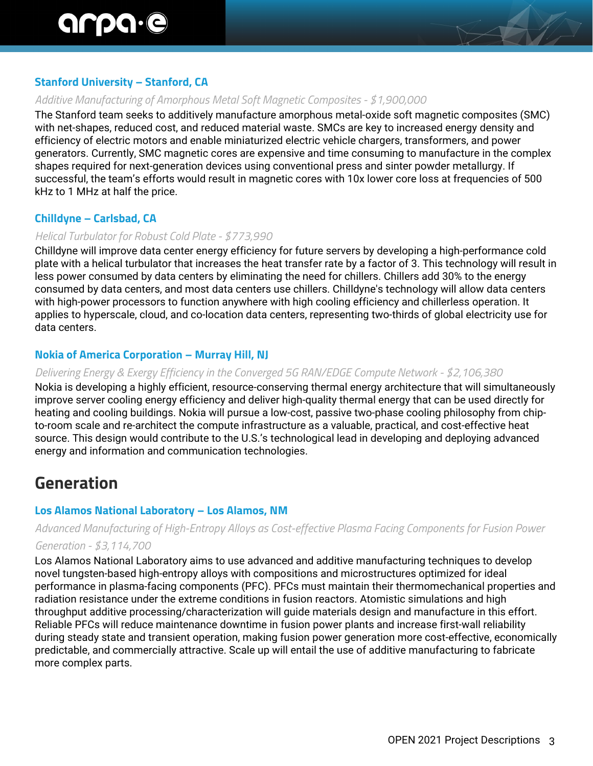# **Stanford University – Stanford, CA**

#### *Additive Manufacturing of Amorphous Metal Soft Magnetic Composites - \$1,900,000*

The Stanford team seeks to additively manufacture amorphous metal-oxide soft magnetic composites (SMC) with net-shapes, reduced cost, and reduced material waste. SMCs are key to increased energy density and efficiency of electric motors and enable miniaturized electric vehicle chargers, transformers, and power generators. Currently, SMC magnetic cores are expensive and time consuming to manufacture in the complex shapes required for next-generation devices using conventional press and sinter powder metallurgy. If successful, the team's efforts would result in magnetic cores with 10x lower core loss at frequencies of 500 kHz to 1 MHz at half the price.

# **Chilldyne – Carlsbad, CA**

#### *Helical Turbulator for Robust Cold Plate - \$773,990*

Chilldyne will improve data center energy efficiency for future servers by developing a high-performance cold plate with a helical turbulator that increases the heat transfer rate by a factor of 3. This technology will result in less power consumed by data centers by eliminating the need for chillers. Chillers add 30% to the energy consumed by data centers, and most data centers use chillers. Chilldyne's technology will allow data centers with high-power processors to function anywhere with high cooling efficiency and chillerless operation. It applies to hyperscale, cloud, and co-location data centers, representing two-thirds of global electricity use for data centers.

# **Nokia of America Corporation – Murray Hill, NJ**

#### *Delivering Energy & Exergy Efficiency in the Converged 5G RAN/EDGE Compute Network - \$2,106,380*

Nokia is developing a highly efficient, resource-conserving thermal energy architecture that will simultaneously improve server cooling energy efficiency and deliver high-quality thermal energy that can be used directly for heating and cooling buildings. Nokia will pursue a low-cost, passive two-phase cooling philosophy from chipto-room scale and re-architect the compute infrastructure as a valuable, practical, and cost-effective heat source. This design would contribute to the U.S.'s technological lead in developing and deploying advanced energy and information and communication technologies.

# **Generation**

# **Los Alamos National Laboratory – Los Alamos, NM**

# *Advanced Manufacturing of High-Entropy Alloys as Cost-effective Plasma Facing Components for Fusion Power Generation - \$3,114,700*

Los Alamos National Laboratory aims to use advanced and additive manufacturing techniques to develop novel tungsten-based high-entropy alloys with compositions and microstructures optimized for ideal performance in plasma-facing components (PFC). PFCs must maintain their thermomechanical properties and radiation resistance under the extreme conditions in fusion reactors. Atomistic simulations and high throughput additive processing/characterization will guide materials design and manufacture in this effort. Reliable PFCs will reduce maintenance downtime in fusion power plants and increase first-wall reliability during steady state and transient operation, making fusion power generation more cost-effective, economically predictable, and commercially attractive. Scale up will entail the use of additive manufacturing to fabricate more complex parts.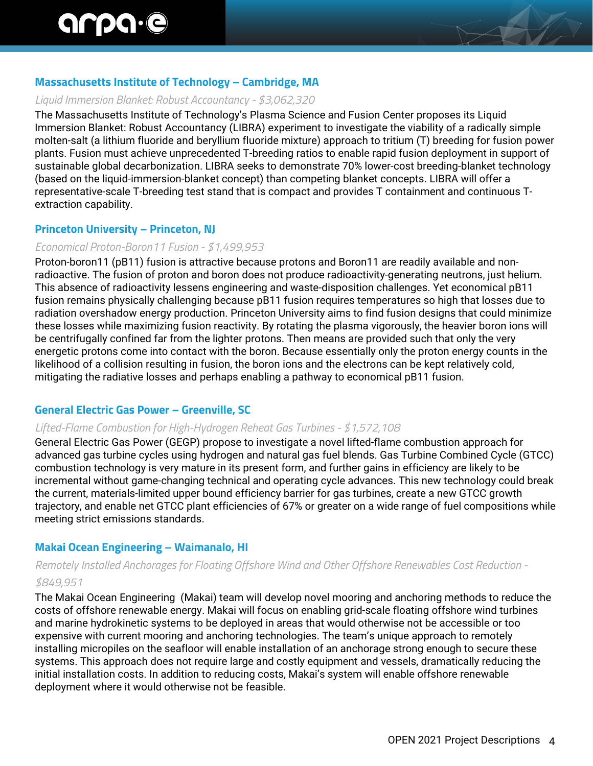# **Massachusetts Institute of Technology – Cambridge, MA**

#### *Liquid Immersion Blanket: Robust Accountancy - \$3,062,320*

The Massachusetts Institute of Technology's Plasma Science and Fusion Center proposes its Liquid Immersion Blanket: Robust Accountancy (LIBRA) experiment to investigate the viability of a radically simple molten-salt (a lithium fluoride and beryllium fluoride mixture) approach to tritium (T) breeding for fusion power plants. Fusion must achieve unprecedented T-breeding ratios to enable rapid fusion deployment in support of sustainable global decarbonization. LIBRA seeks to demonstrate 70% lower-cost breeding-blanket technology (based on the liquid-immersion-blanket concept) than competing blanket concepts. LIBRA will offer a representative-scale T-breeding test stand that is compact and provides T containment and continuous Textraction capability.

# **Princeton University – Princeton, NJ**

#### *Economical Proton-Boron11 Fusion - \$1,499,953*

Proton-boron11 (pB11) fusion is attractive because protons and Boron11 are readily available and nonradioactive. The fusion of proton and boron does not produce radioactivity-generating neutrons, just helium. This absence of radioactivity lessens engineering and waste-disposition challenges. Yet economical pB11 fusion remains physically challenging because pB11 fusion requires temperatures so high that losses due to radiation overshadow energy production. Princeton University aims to find fusion designs that could minimize these losses while maximizing fusion reactivity. By rotating the plasma vigorously, the heavier boron ions will be centrifugally confined far from the lighter protons. Then means are provided such that only the very energetic protons come into contact with the boron. Because essentially only the proton energy counts in the likelihood of a collision resulting in fusion, the boron ions and the electrons can be kept relatively cold, mitigating the radiative losses and perhaps enabling a pathway to economical pB11 fusion.

# **General Electric Gas Power – Greenville, SC**

# *Lifted-Flame Combustion for High-Hydrogen Reheat Gas Turbines - \$1,572,108*

General Electric Gas Power (GEGP) propose to investigate a novel lifted-flame combustion approach for advanced gas turbine cycles using hydrogen and natural gas fuel blends. Gas Turbine Combined Cycle (GTCC) combustion technology is very mature in its present form, and further gains in efficiency are likely to be incremental without game-changing technical and operating cycle advances. This new technology could break the current, materials-limited upper bound efficiency barrier for gas turbines, create a new GTCC growth trajectory, and enable net GTCC plant efficiencies of 67% or greater on a wide range of fuel compositions while meeting strict emissions standards.

# **Makai Ocean Engineering – Waimanalo, HI**

# *Remotely Installed Anchorages for Floating Offshore Wind and Other Offshore Renewables Cost Reduction -*

#### *\$849,951*

The Makai Ocean Engineering (Makai) team will develop novel mooring and anchoring methods to reduce the costs of offshore renewable energy. Makai will focus on enabling grid-scale floating offshore wind turbines and marine hydrokinetic systems to be deployed in areas that would otherwise not be accessible or too expensive with current mooring and anchoring technologies. The team's unique approach to remotely installing micropiles on the seafloor will enable installation of an anchorage strong enough to secure these systems. This approach does not require large and costly equipment and vessels, dramatically reducing the initial installation costs. In addition to reducing costs, Makai's system will enable offshore renewable deployment where it would otherwise not be feasible.

 $H$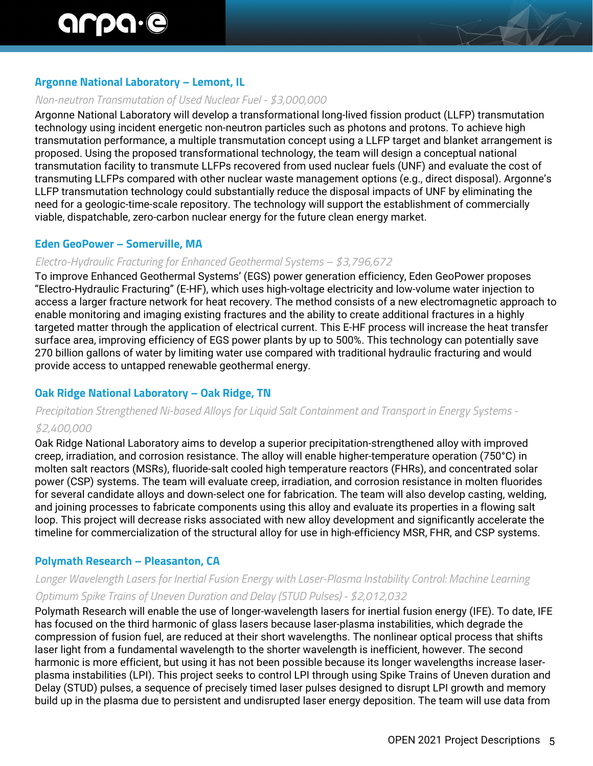# **Argonne National Laboratory – Lemont, IL**

#### *Non-neutron Transmutation of Used Nuclear Fuel - \$3,000,000*

Argonne National Laboratory will develop a transformational long-lived fission product (LLFP) transmutation technology using incident energetic non-neutron particles such as photons and protons. To achieve high transmutation performance, a multiple transmutation concept using a LLFP target and blanket arrangement is proposed. Using the proposed transformational technology, the team will design a conceptual national transmutation facility to transmute LLFPs recovered from used nuclear fuels (UNF) and evaluate the cost of transmuting LLFPs compared with other nuclear waste management options (e.g., direct disposal). Argonne's LLFP transmutation technology could substantially reduce the disposal impacts of UNF by eliminating the need for a geologic-time-scale repository. The technology will support the establishment of commercially viable, dispatchable, zero-carbon nuclear energy for the future clean energy market.

#### **Eden GeoPower – Somerville, MA**

#### *Electro-Hydraulic Fracturing for Enhanced Geothermal Systems – \$3,796,672*

To improve Enhanced Geothermal Systems' (EGS) power generation efficiency, Eden GeoPower proposes "Electro-Hydraulic Fracturing" (E-HF), which uses high-voltage electricity and low-volume water injection to access a larger fracture network for heat recovery. The method consists of a new electromagnetic approach to enable monitoring and imaging existing fractures and the ability to create additional fractures in a highly targeted matter through the application of electrical current. This E-HF process will increase the heat transfer surface area, improving efficiency of EGS power plants by up to 500%. This technology can potentially save 270 billion gallons of water by limiting water use compared with traditional hydraulic fracturing and would provide access to untapped renewable geothermal energy.

# **Oak Ridge National Laboratory – Oak Ridge, TN**

# *Precipitation Strengthened Ni-based Alloys for Liquid Salt Containment and Transport in Energy Systems - \$2,400,000*

Oak Ridge National Laboratory aims to develop a superior precipitation-strengthened alloy with improved creep, irradiation, and corrosion resistance. The alloy will enable higher-temperature operation (750°C) in molten salt reactors (MSRs), fluoride-salt cooled high temperature reactors (FHRs), and concentrated solar power (CSP) systems. The team will evaluate creep, irradiation, and corrosion resistance in molten fluorides for several candidate alloys and down-select one for fabrication. The team will also develop casting, welding, and joining processes to fabricate components using this alloy and evaluate its properties in a flowing salt loop. This project will decrease risks associated with new alloy development and significantly accelerate the timeline for commercialization of the structural alloy for use in high-efficiency MSR, FHR, and CSP systems.

# **Polymath Research – Pleasanton, CA**

# *Longer Wavelength Lasers for Inertial Fusion Energy with Laser-Plasma Instability Control: Machine Learning Optimum Spike Trains of Uneven Duration and Delay (STUD Pulses) - \$2,012,032*

Polymath Research will enable the use of longer-wavelength lasers for inertial fusion energy (IFE). To date, IFE has focused on the third harmonic of glass lasers because laser-plasma instabilities, which degrade the compression of fusion fuel, are reduced at their short wavelengths. The nonlinear optical process that shifts laser light from a fundamental wavelength to the shorter wavelength is inefficient, however. The second harmonic is more efficient, but using it has not been possible because its longer wavelengths increase laserplasma instabilities (LPI). This project seeks to control LPI through using Spike Trains of Uneven duration and Delay (STUD) pulses, a sequence of precisely timed laser pulses designed to disrupt LPI growth and memory build up in the plasma due to persistent and undisrupted laser energy deposition. The team will use data from

 $\mathcal{F}$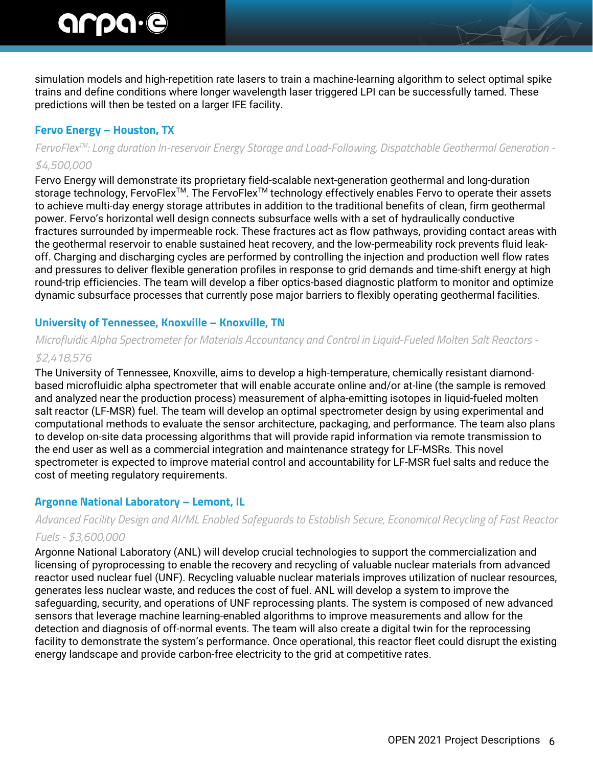simulation models and high-repetition rate lasers to train a machine-learning algorithm to select optimal spike trains and define conditions where longer wavelength laser triggered LPI can be successfully tamed. These predictions will then be tested on a larger IFE facility.

# **Fervo Energy – Houston, TX**

# *FervoFlexTM: Long duration In-reservoir Energy Storage and Load-Following, Dispatchable Geothermal Generation - \$4,500,000*

Fervo Energy will demonstrate its proprietary field-scalable next-generation geothermal and long-duration storage technology, FervoFlex<sup>™</sup>. The FervoFlex<sup>™</sup> technology effectively enables Fervo to operate their assets to achieve multi-day energy storage attributes in addition to the traditional benefits of clean, firm geothermal power. Fervo's horizontal well design connects subsurface wells with a set of hydraulically conductive fractures surrounded by impermeable rock. These fractures act as flow pathways, providing contact areas with the geothermal reservoir to enable sustained heat recovery, and the low-permeability rock prevents fluid leakoff. Charging and discharging cycles are performed by controlling the injection and production well flow rates and pressures to deliver flexible generation profiles in response to grid demands and time-shift energy at high round-trip efficiencies. The team will develop a fiber optics-based diagnostic platform to monitor and optimize dynamic subsurface processes that currently pose major barriers to flexibly operating geothermal facilities.

# **University of Tennessee, Knoxville – Knoxville, TN**

# *Microfluidic Alpha Spectrometer for Materials Accountancy and Control in Liquid-Fueled Molten Salt Reactors -*

# *\$2,418,576*

The University of Tennessee, Knoxville, aims to develop a high-temperature, chemically resistant diamondbased microfluidic alpha spectrometer that will enable accurate online and/or at-line (the sample is removed and analyzed near the production process) measurement of alpha-emitting isotopes in liquid-fueled molten salt reactor (LF-MSR) fuel. The team will develop an optimal spectrometer design by using experimental and computational methods to evaluate the sensor architecture, packaging, and performance. The team also plans to develop on-site data processing algorithms that will provide rapid information via remote transmission to the end user as well as a commercial integration and maintenance strategy for LF-MSRs. This novel spectrometer is expected to improve material control and accountability for LF-MSR fuel salts and reduce the cost of meeting regulatory requirements.

# **Argonne National Laboratory – Lemont, IL**

# *Advanced Facility Design and AI/ML Enabled Safeguards to Establish Secure, Economical Recycling of Fast Reactor Fuels - \$3,600,000*

Argonne National Laboratory (ANL) will develop crucial technologies to support the commercialization and licensing of pyroprocessing to enable the recovery and recycling of valuable nuclear materials from advanced reactor used nuclear fuel (UNF). Recycling valuable nuclear materials improves utilization of nuclear resources, generates less nuclear waste, and reduces the cost of fuel. ANL will develop a system to improve the safeguarding, security, and operations of UNF reprocessing plants. The system is composed of new advanced sensors that leverage machine learning-enabled algorithms to improve measurements and allow for the detection and diagnosis of off-normal events. The team will also create a digital twin for the reprocessing facility to demonstrate the system's performance. Once operational, this reactor fleet could disrupt the existing energy landscape and provide carbon-free electricity to the grid at competitive rates.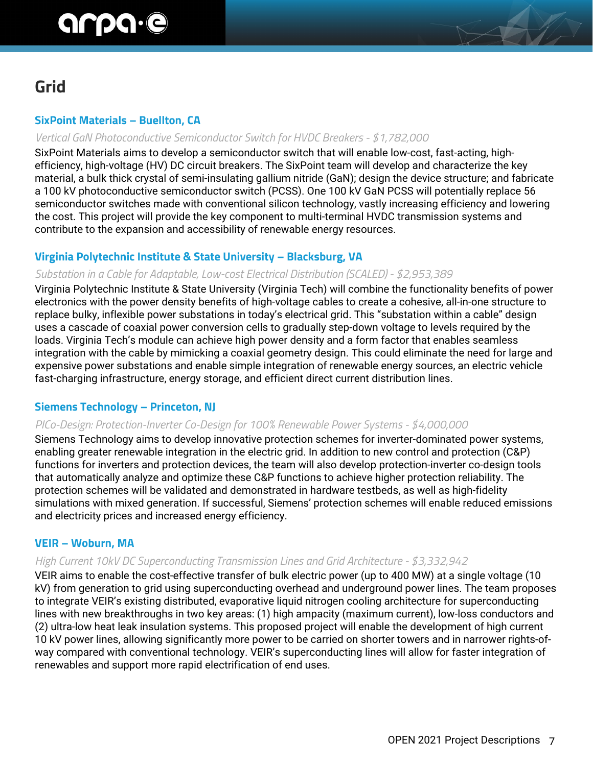# **Grid**

# **SixPoint Materials – Buellton, CA**

# *Vertical GaN Photoconductive Semiconductor Switch for HVDC Breakers - \$1,782,000*

SixPoint Materials aims to develop a semiconductor switch that will enable low-cost, fast-acting, highefficiency, high-voltage (HV) DC circuit breakers. The SixPoint team will develop and characterize the key material, a bulk thick crystal of semi-insulating gallium nitride (GaN); design the device structure; and fabricate a 100 kV photoconductive semiconductor switch (PCSS). One 100 kV GaN PCSS will potentially replace 56 semiconductor switches made with conventional silicon technology, vastly increasing efficiency and lowering the cost. This project will provide the key component to multi-terminal HVDC transmission systems and contribute to the expansion and accessibility of renewable energy resources.

# **Virginia Polytechnic Institute & State University – Blacksburg, VA**

#### *Substation in a Cable for Adaptable, Low-cost Electrical Distribution (SCALED) - \$2,953,389*

Virginia Polytechnic Institute & State University (Virginia Tech) will combine the functionality benefits of power electronics with the power density benefits of high-voltage cables to create a cohesive, all-in-one structure to replace bulky, inflexible power substations in today's electrical grid. This "substation within a cable" design uses a cascade of coaxial power conversion cells to gradually step-down voltage to levels required by the loads. Virginia Tech's module can achieve high power density and a form factor that enables seamless integration with the cable by mimicking a coaxial geometry design. This could eliminate the need for large and expensive power substations and enable simple integration of renewable energy sources, an electric vehicle fast-charging infrastructure, energy storage, and efficient direct current distribution lines.

# **Siemens Technology – Princeton, NJ**

#### *PICo-Design: Protection-Inverter Co-Design for 100% Renewable Power Systems - \$4,000,000*

Siemens Technology aims to develop innovative protection schemes for inverter-dominated power systems, enabling greater renewable integration in the electric grid. In addition to new control and protection (C&P) functions for inverters and protection devices, the team will also develop protection-inverter co-design tools that automatically analyze and optimize these C&P functions to achieve higher protection reliability. The protection schemes will be validated and demonstrated in hardware testbeds, as well as high-fidelity simulations with mixed generation. If successful, Siemens' protection schemes will enable reduced emissions and electricity prices and increased energy efficiency.

#### **VEIR – Woburn, MA**

#### *High Current 10kV DC Superconducting Transmission Lines and Grid Architecture - \$3,332,942*

VEIR aims to enable the cost-effective transfer of bulk electric power (up to 400 MW) at a single voltage (10 kV) from generation to grid using superconducting overhead and underground power lines. The team proposes to integrate VEIR's existing distributed, evaporative liquid nitrogen cooling architecture for superconducting lines with new breakthroughs in two key areas: (1) high ampacity (maximum current), low-loss conductors and (2) ultra-low heat leak insulation systems. This proposed project will enable the development of high current 10 kV power lines, allowing significantly more power to be carried on shorter towers and in narrower rights-ofway compared with conventional technology. VEIR's superconducting lines will allow for faster integration of renewables and support more rapid electrification of end uses.

H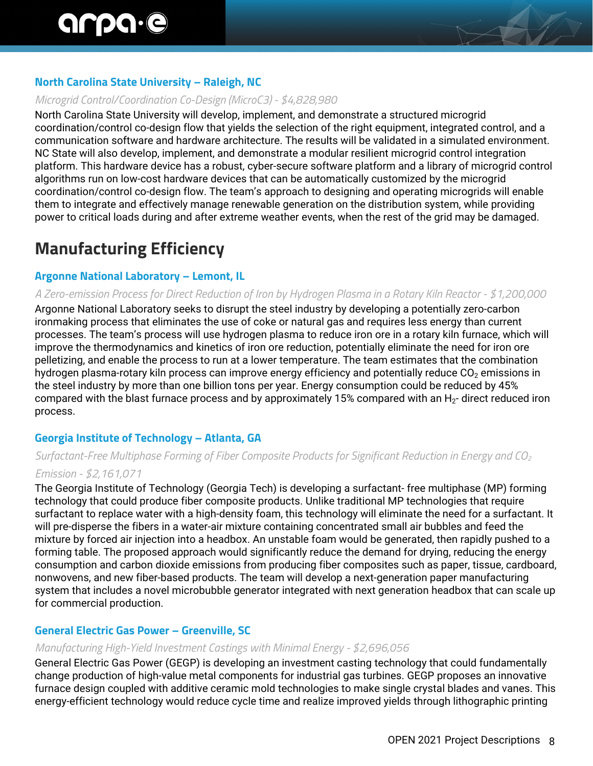# **North Carolina State University – Raleigh, NC**

#### *Microgrid Control/Coordination Co-Design (MicroC3) - \$4,828,980*

North Carolina State University will develop, implement, and demonstrate a structured microgrid coordination/control co-design flow that yields the selection of the right equipment, integrated control, and a communication software and hardware architecture. The results will be validated in a simulated environment. NC State will also develop, implement, and demonstrate a modular resilient microgrid control integration platform. This hardware device has a robust, cyber-secure software platform and a library of microgrid control algorithms run on low-cost hardware devices that can be automatically customized by the microgrid coordination/control co-design flow. The team's approach to designing and operating microgrids will enable them to integrate and effectively manage renewable generation on the distribution system, while providing power to critical loads during and after extreme weather events, when the rest of the grid may be damaged.

# **Manufacturing Efficiency**

# **Argonne National Laboratory – Lemont, IL**

#### *A Zero-emission Process for Direct Reduction of Iron by Hydrogen Plasma in a Rotary Kiln Reactor - \$1,200,000*

Argonne National Laboratory seeks to disrupt the steel industry by developing a potentially zero-carbon ironmaking process that eliminates the use of coke or natural gas and requires less energy than current processes. The team's process will use hydrogen plasma to reduce iron ore in a rotary kiln furnace, which will improve the thermodynamics and kinetics of iron ore reduction, potentially eliminate the need for iron ore pelletizing, and enable the process to run at a lower temperature. The team estimates that the combination hydrogen plasma-rotary kiln process can improve energy efficiency and potentially reduce  $CO<sub>2</sub>$  emissions in the steel industry by more than one billion tons per year. Energy consumption could be reduced by 45% compared with the blast furnace process and by approximately 15% compared with an  $H_2$ - direct reduced iron process.

# **Georgia Institute of Technology – Atlanta, GA**

# *Surfactant-Free Multiphase Forming of Fiber Composite Products for Significant Reduction in Energy and CO2 Emission - \$2,161,071*

The Georgia Institute of Technology (Georgia Tech) is developing a surfactant- free multiphase (MP) forming technology that could produce fiber composite products. Unlike traditional MP technologies that require surfactant to replace water with a high-density foam, this technology will eliminate the need for a surfactant. It will pre-disperse the fibers in a water-air mixture containing concentrated small air bubbles and feed the mixture by forced air injection into a headbox. An unstable foam would be generated, then rapidly pushed to a forming table. The proposed approach would significantly reduce the demand for drying, reducing the energy consumption and carbon dioxide emissions from producing fiber composites such as paper, tissue, cardboard, nonwovens, and new fiber-based products. The team will develop a next-generation paper manufacturing system that includes a novel microbubble generator integrated with next generation headbox that can scale up for commercial production.

# **General Electric Gas Power – Greenville, SC**

#### *Manufacturing High-Yield Investment Castings with Minimal Energy - \$2,696,056*

General Electric Gas Power (GEGP) is developing an investment casting technology that could fundamentally change production of high-value metal components for industrial gas turbines. GEGP proposes an innovative furnace design coupled with additive ceramic mold technologies to make single crystal blades and vanes. This energy-efficient technology would reduce cycle time and realize improved yields through lithographic printing

EV 1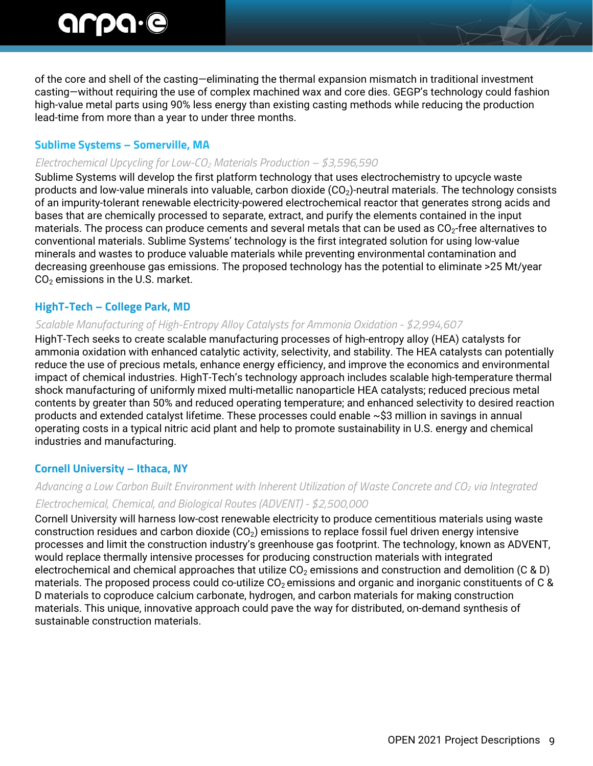of the core and shell of the casting—eliminating the thermal expansion mismatch in traditional investment casting—without requiring the use of complex machined wax and core dies. GEGP's technology could fashion high-value metal parts using 90% less energy than existing casting methods while reducing the production lead-time from more than a year to under three months.

#### **Sublime Systems – Somerville, MA**

#### *Electrochemical Upcycling for Low-CO2 Materials Production – \$3,596,590*

Sublime Systems will develop the first platform technology that uses electrochemistry to upcycle waste products and low-value minerals into valuable, carbon dioxide  $(CO<sub>2</sub>)$ -neutral materials. The technology consists of an impurity-tolerant renewable electricity-powered electrochemical reactor that generates strong acids and bases that are chemically processed to separate, extract, and purify the elements contained in the input materials. The process can produce cements and several metals that can be used as  $CO<sub>2</sub>$ -free alternatives to conventional materials. Sublime Systems' technology is the first integrated solution for using low-value minerals and wastes to produce valuable materials while preventing environmental contamination and decreasing greenhouse gas emissions. The proposed technology has the potential to eliminate >25 Mt/year  $CO<sub>2</sub>$  emissions in the U.S. market.

# **HighT-Tech – College Park, MD**

#### *Scalable Manufacturing of High-Entropy Alloy Catalysts for Ammonia Oxidation - \$2,994,607*

HighT-Tech seeks to create scalable manufacturing processes of high-entropy alloy (HEA) catalysts for ammonia oxidation with enhanced catalytic activity, selectivity, and stability. The HEA catalysts can potentially reduce the use of precious metals, enhance energy efficiency, and improve the economics and environmental impact of chemical industries. HighT-Tech's technology approach includes scalable high-temperature thermal shock manufacturing of uniformly mixed multi-metallic nanoparticle HEA catalysts; reduced precious metal contents by greater than 50% and reduced operating temperature; and enhanced selectivity to desired reaction products and extended catalyst lifetime. These processes could enable ~\$3 million in savings in annual operating costs in a typical nitric acid plant and help to promote sustainability in U.S. energy and chemical industries and manufacturing.

# **Cornell University – Ithaca, NY**

# *Advancing a Low Carbon Built Environment with Inherent Utilization of Waste Concrete and CO2 via Integrated Electrochemical, Chemical, and Biological Routes (ADVENT) - \$2,500,000*

Cornell University will harness low-cost renewable electricity to produce cementitious materials using waste construction residues and carbon dioxide  $(CO<sub>2</sub>)$  emissions to replace fossil fuel driven energy intensive processes and limit the construction industry's greenhouse gas footprint. The technology, known as ADVENT, would replace thermally intensive processes for producing construction materials with integrated electrochemical and chemical approaches that utilize  $CO<sub>2</sub>$  emissions and construction and demolition (C & D) materials. The proposed process could co-utilize  $CO<sub>2</sub>$  emissions and organic and inorganic constituents of C & D materials to coproduce calcium carbonate, hydrogen, and carbon materials for making construction materials. This unique, innovative approach could pave the way for distributed, on-demand synthesis of sustainable construction materials.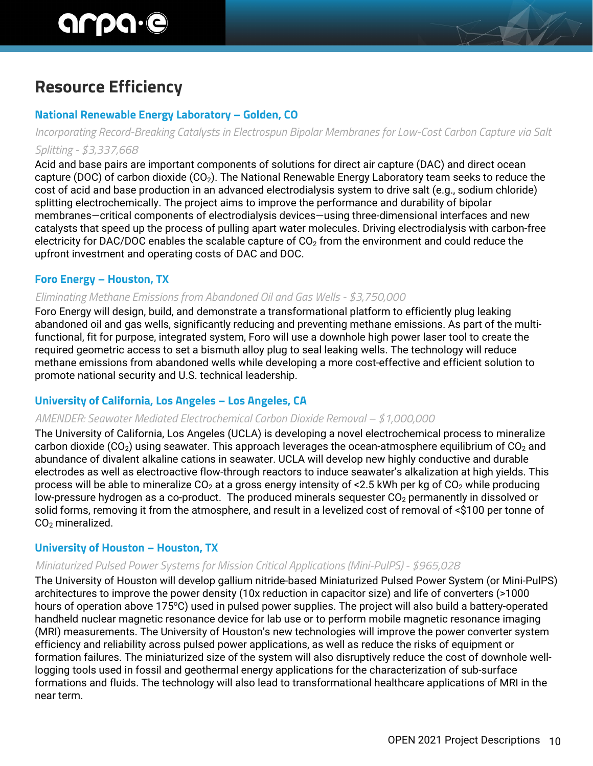# **Resource Efficiency**

# **National Renewable Energy Laboratory – Golden, CO**

*Incorporating Record-Breaking Catalysts in Electrospun Bipolar Membranes for Low-Cost Carbon Capture via Salt Splitting - \$3,337,668*

Acid and base pairs are important components of solutions for direct air capture (DAC) and direct ocean capture (DOC) of carbon dioxide (CO<sub>2</sub>). The National Renewable Energy Laboratory team seeks to reduce the cost of acid and base production in an advanced electrodialysis system to drive salt (e.g., sodium chloride) splitting electrochemically. The project aims to improve the performance and durability of bipolar membranes—critical components of electrodialysis devices—using three-dimensional interfaces and new catalysts that speed up the process of pulling apart water molecules. Driving electrodialysis with carbon-free electricity for DAC/DOC enables the scalable capture of  $CO<sub>2</sub>$  from the environment and could reduce the upfront investment and operating costs of DAC and DOC.

# **Foro Energy – Houston, TX**

# *Eliminating Methane Emissions from Abandoned Oil and Gas Wells - \$3,750,000*

Foro Energy will design, build, and demonstrate a transformational platform to efficiently plug leaking abandoned oil and gas wells, significantly reducing and preventing methane emissions. As part of the multifunctional, fit for purpose, integrated system, Foro will use a downhole high power laser tool to create the required geometric access to set a bismuth alloy plug to seal leaking wells. The technology will reduce methane emissions from abandoned wells while developing a more cost-effective and efficient solution to promote national security and U.S. technical leadership.

# **University of California, Los Angeles – Los Angeles, CA**

#### *AMENDER: Seawater Mediated Electrochemical Carbon Dioxide Removal – \$1,000,000*

The University of California, Los Angeles (UCLA) is developing a novel electrochemical process to mineralize carbon dioxide (CO<sub>2</sub>) using seawater. This approach leverages the ocean-atmosphere equilibrium of CO<sub>2</sub> and abundance of divalent alkaline cations in seawater. UCLA will develop new highly conductive and durable electrodes as well as electroactive flow-through reactors to induce seawater's alkalization at high yields. This process will be able to mineralize  $CO<sub>2</sub>$  at a gross energy intensity of <2.5 kWh per kg of  $CO<sub>2</sub>$  while producing low-pressure hydrogen as a co-product. The produced minerals sequester  $CO<sub>2</sub>$  permanently in dissolved or solid forms, removing it from the atmosphere, and result in a levelized cost of removal of <\$100 per tonne of  $CO<sub>2</sub>$  mineralized.

# **University of Houston – Houston, TX**

#### *Miniaturized Pulsed Power Systems for Mission Critical Applications (Mini-PulPS) - \$965,028*

The University of Houston will develop gallium nitride-based Miniaturized Pulsed Power System (or Mini-PulPS) architectures to improve the power density (10x reduction in capacitor size) and life of converters (>1000 hours of operation above 175°C) used in pulsed power supplies. The project will also build a battery-operated handheld nuclear magnetic resonance device for lab use or to perform mobile magnetic resonance imaging (MRI) measurements. The University of Houston's new technologies will improve the power converter system efficiency and reliability across pulsed power applications, as well as reduce the risks of equipment or formation failures. The miniaturized size of the system will also disruptively reduce the cost of downhole welllogging tools used in fossil and geothermal energy applications for the characterization of sub-surface formations and fluids. The technology will also lead to transformational healthcare applications of MRI in the near term.

H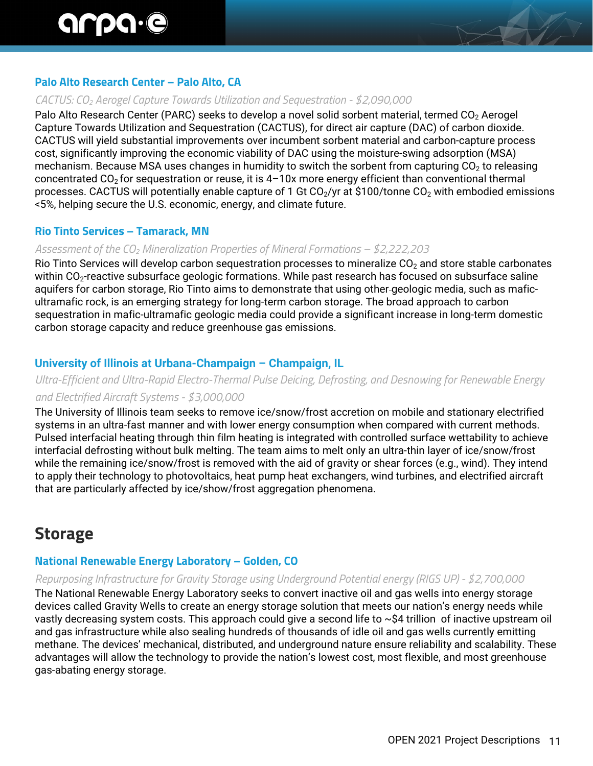# **Palo Alto Research Center – Palo Alto, CA**

#### *CACTUS: CO2 Aerogel Capture Towards Utilization and Sequestration - \$2,090,000*

Palo Alto Research Center (PARC) seeks to develop a novel solid sorbent material, termed CO<sub>2</sub> Aerogel Capture Towards Utilization and Sequestration (CACTUS), for direct air capture (DAC) of carbon dioxide. CACTUS will yield substantial improvements over incumbent sorbent material and carbon-capture process cost, significantly improving the economic viability of DAC using the moisture-swing adsorption (MSA) mechanism. Because MSA uses changes in humidity to switch the sorbent from capturing CO<sub>2</sub> to releasing concentrated  $CO<sub>2</sub>$  for sequestration or reuse, it is  $4-10x$  more energy efficient than conventional thermal processes. CACTUS will potentially enable capture of 1 Gt CO<sub>2</sub>/yr at \$100/tonne CO<sub>2</sub> with embodied emissions <5%, helping secure the U.S. economic, energy, and climate future.

#### **Rio Tinto Services – Tamarack, MN**

#### *Assessment of the CO2 Mineralization Properties of Mineral Formations – \$2,222,203*

Rio Tinto Services will develop carbon sequestration processes to mineralize  $CO<sub>2</sub>$  and store stable carbonates within  $CO<sub>2</sub>$ -reactive subsurface geologic formations. While past research has focused on subsurface saline aquifers for carbon storage, Rio Tinto aims to demonstrate that using other geologic media, such as maficultramafic rock, is an emerging strategy for long-term carbon storage. The broad approach to carbon sequestration in mafic-ultramafic geologic media could provide a significant increase in long-term domestic carbon storage capacity and reduce greenhouse gas emissions.

#### **University of Illinois at Urbana-Champaign – Champaign, IL**

# *Ultra-Efficient and Ultra-Rapid Electro-Thermal Pulse Deicing, Defrosting, and Desnowing for Renewable Energy and Electrified Aircraft Systems - \$3,000,000*

The University of Illinois team seeks to remove ice/snow/frost accretion on mobile and stationary electrified systems in an ultra-fast manner and with lower energy consumption when compared with current methods. Pulsed interfacial heating through thin film heating is integrated with controlled surface wettability to achieve interfacial defrosting without bulk melting. The team aims to melt only an ultra-thin layer of ice/snow/frost while the remaining ice/snow/frost is removed with the aid of gravity or shear forces (e.g., wind). They intend to apply their technology to photovoltaics, heat pump heat exchangers, wind turbines, and electrified aircraft that are particularly affected by ice/show/frost aggregation phenomena.

# **Storage**

#### **National Renewable Energy Laboratory – Golden, CO**

#### *Repurposing Infrastructure for Gravity Storage using Underground Potential energy (RIGS UP) - \$2,700,000*

The National Renewable Energy Laboratory seeks to convert inactive oil and gas wells into energy storage devices called Gravity Wells to create an energy storage solution that meets our nation's energy needs while vastly decreasing system costs. This approach could give a second life to ~\$4 trillion of inactive upstream oil and gas infrastructure while also sealing hundreds of thousands of idle oil and gas wells currently emitting methane. The devices' mechanical, distributed, and underground nature ensure reliability and scalability. These advantages will allow the technology to provide the nation's lowest cost, most flexible, and most greenhouse gas-abating energy storage.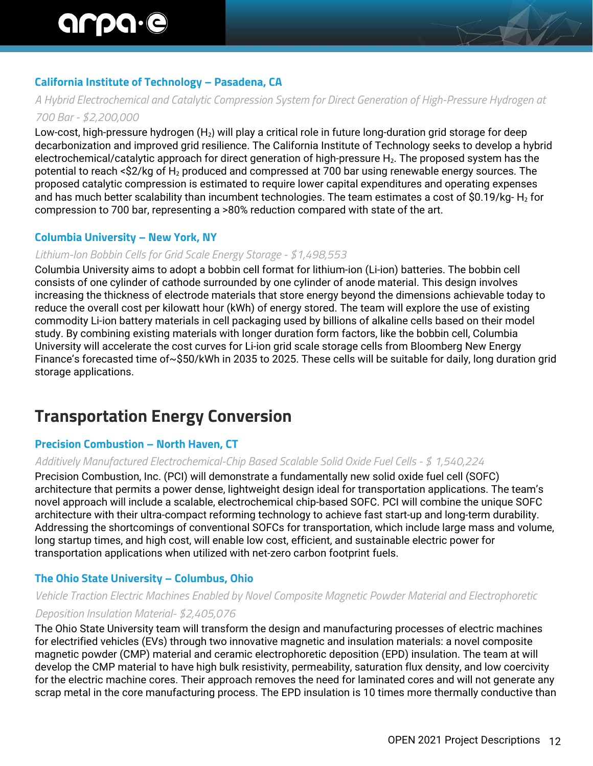# **California Institute of Technology – Pasadena, CA**

*A Hybrid Electrochemical and Catalytic Compression System for Direct Generation of High-Pressure Hydrogen at* 

#### *700 Bar - \$2,200,000*

Low-cost, high-pressure hydrogen (H<sub>2</sub>) will play a critical role in future long-duration grid storage for deep decarbonization and improved grid resilience. The California Institute of Technology seeks to develop a hybrid electrochemical/catalytic approach for direct generation of high-pressure H<sub>2</sub>. The proposed system has the potential to reach < $$2/kq$  of  $H_2$  produced and compressed at 700 bar using renewable energy sources. The proposed catalytic compression is estimated to require lower capital expenditures and operating expenses and has much better scalability than incumbent technologies. The team estimates a cost of \$0.19/kg- $H_2$  for compression to 700 bar, representing a >80% reduction compared with state of the art.

#### **Columbia University – New York, NY**

#### *Lithium-Ion Bobbin Cells for Grid Scale Energy Storage - \$1,498,553*

Columbia University aims to adopt a bobbin cell format for lithium-ion (Li-ion) batteries. The bobbin cell consists of one cylinder of cathode surrounded by one cylinder of anode material. This design involves increasing the thickness of electrode materials that store energy beyond the dimensions achievable today to reduce the overall cost per kilowatt hour (kWh) of energy stored. The team will explore the use of existing commodity Li-ion battery materials in cell packaging used by billions of alkaline cells based on their model study. By combining existing materials with longer duration form factors, like the bobbin cell, Columbia University will accelerate the cost curves for Li-ion grid scale storage cells from Bloomberg New Energy Finance's forecasted time of~\$50/kWh in 2035 to 2025. These cells will be suitable for daily, long duration grid storage applications.

# **Transportation Energy Conversion**

# **Precision Combustion – North Haven, CT**

#### *Additively Manufactured Electrochemical-Chip Based Scalable Solid Oxide Fuel Cells - \$ 1,540,224*

Precision Combustion, Inc. (PCI) will demonstrate a fundamentally new solid oxide fuel cell (SOFC) architecture that permits a power dense, lightweight design ideal for transportation applications. The team's novel approach will include a scalable, electrochemical chip-based SOFC. PCI will combine the unique SOFC architecture with their ultra-compact reforming technology to achieve fast start-up and long-term durability. Addressing the shortcomings of conventional SOFCs for transportation, which include large mass and volume, long startup times, and high cost, will enable low cost, efficient, and sustainable electric power for transportation applications when utilized with net-zero carbon footprint fuels.

#### **The Ohio State University – Columbus, Ohio**

# *Vehicle Traction Electric Machines Enabled by Novel Composite Magnetic Powder Material and Electrophoretic*

#### *Deposition Insulation Material- \$2,405,076*

The Ohio State University team will transform the design and manufacturing processes of electric machines for electrified vehicles (EVs) through two innovative magnetic and insulation materials: a novel composite magnetic powder (CMP) material and ceramic electrophoretic deposition (EPD) insulation. The team at will develop the CMP material to have high bulk resistivity, permeability, saturation flux density, and low coercivity for the electric machine cores. Their approach removes the need for laminated cores and will not generate any scrap metal in the core manufacturing process. The EPD insulation is 10 times more thermally conductive than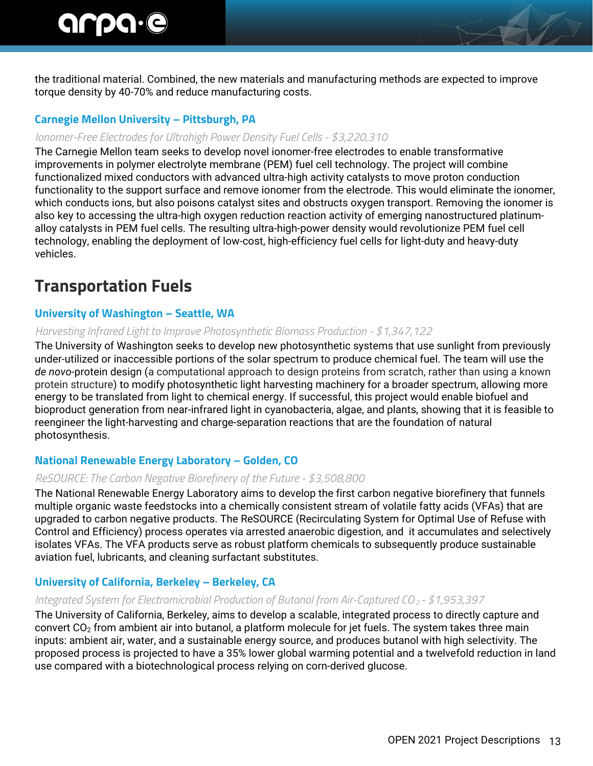the traditional material. Combined, the new materials and manufacturing methods are expected to improve torque density by 40-70% and reduce manufacturing costs.

# **Carnegie Mellon University – Pittsburgh, PA**

#### *Ionomer-Free Electrodes for Ultrahigh Power Density Fuel Cells - \$3,220,310*

The Carnegie Mellon team seeks to develop novel ionomer-free electrodes to enable transformative improvements in polymer electrolyte membrane (PEM) fuel cell technology. The project will combine functionalized mixed conductors with advanced ultra-high activity catalysts to move proton conduction functionality to the support surface and remove ionomer from the electrode. This would eliminate the ionomer, which conducts ions, but also poisons catalyst sites and obstructs oxygen transport. Removing the ionomer is also key to accessing the ultra-high oxygen reduction reaction activity of emerging nanostructured platinumalloy catalysts in PEM fuel cells. The resulting ultra-high-power density would revolutionize PEM fuel cell technology, enabling the deployment of low-cost, high-efficiency fuel cells for light-duty and heavy-duty vehicles.

# **Transportation Fuels**

# **University of Washington – Seattle, WA**

#### *Harvesting Infrared Light to Improve Photosynthetic Biomass Production - \$1,347,122*

The University of Washington seeks to develop new photosynthetic systems that use sunlight from previously under-utilized or inaccessible portions of the solar spectrum to produce chemical fuel. The team will use the *de novo*-protein design (a computational approach to design proteins from scratch, rather than using a known protein structure) to modify photosynthetic light harvesting machinery for a broader spectrum, allowing more energy to be translated from light to chemical energy. If successful, this project would enable biofuel and bioproduct generation from near-infrared light in cyanobacteria, algae, and plants, showing that it is feasible to reengineer the light-harvesting and charge-separation reactions that are the foundation of natural photosynthesis.

# **National Renewable Energy Laboratory – Golden, CO**

#### *ReSOURCE: The Carbon Negative Biorefinery of the Future - \$3,508,800*

The National Renewable Energy Laboratory aims to develop the first carbon negative biorefinery that funnels multiple organic waste feedstocks into a chemically consistent stream of volatile fatty acids (VFAs) that are upgraded to carbon negative products. The ReSOURCE (Recirculating System for Optimal Use of Refuse with Control and Efficiency) process operates via arrested anaerobic digestion, and it accumulates and selectively isolates VFAs. The VFA products serve as robust platform chemicals to subsequently produce sustainable aviation fuel, lubricants, and cleaning surfactant substitutes.

# **University of California, Berkeley – Berkeley, CA**

#### *Integrated System for Electromicrobial Production of Butanol from Air-Captured CO2 - \$1,953,397*

The University of California, Berkeley, aims to develop a scalable, integrated process to directly capture and convert  $CO<sub>2</sub>$  from ambient air into butanol, a platform molecule for jet fuels. The system takes three main inputs: ambient air, water, and a sustainable energy source, and produces butanol with high selectivity. The proposed process is projected to have a 35% lower global warming potential and a twelvefold reduction in land use compared with a biotechnological process relying on corn-derived glucose.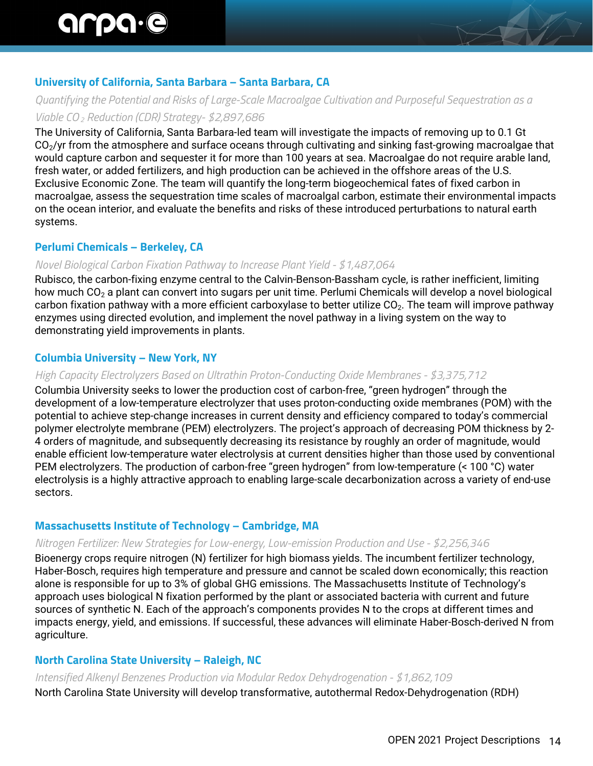# **University of California, Santa Barbara – Santa Barbara, CA**

# *Quantifying the Potential and Risks of Large-Scale Macroalgae Cultivation and Purposeful Sequestration as a*

# *Viable CO2 Reduction (CDR) Strategy- \$2,897,686*

The University of California, Santa Barbara-led team will investigate the impacts of removing up to 0.1 Gt CO<sub>2</sub>/yr from the atmosphere and surface oceans through cultivating and sinking fast-growing macroalgae that would capture carbon and sequester it for more than 100 years at sea. Macroalgae do not require arable land, fresh water, or added fertilizers, and high production can be achieved in the offshore areas of the U.S. Exclusive Economic Zone. The team will quantify the long-term biogeochemical fates of fixed carbon in macroalgae, assess the sequestration time scales of macroalgal carbon, estimate their environmental impacts on the ocean interior, and evaluate the benefits and risks of these introduced perturbations to natural earth systems.

# **Perlumi Chemicals – Berkeley, CA**

#### *Novel Biological Carbon Fixation Pathway to Increase Plant Yield - \$1,487,064*

Rubisco, the carbon-fixing enzyme central to the Calvin-Benson-Bassham cycle, is rather inefficient, limiting how much CO<sub>2</sub> a plant can convert into sugars per unit time. Perlumi Chemicals will develop a novel biological carbon fixation pathway with a more efficient carboxylase to better utilize CO<sub>2</sub>. The team will improve pathway enzymes using directed evolution, and implement the novel pathway in a living system on the way to demonstrating yield improvements in plants.

#### **Columbia University – New York, NY**

#### *High Capacity Electrolyzers Based on Ultrathin Proton-Conducting Oxide Membranes - \$3,375,712*

Columbia University seeks to lower the production cost of carbon-free, "green hydrogen" through the development of a low-temperature electrolyzer that uses proton-conducting oxide membranes (POM) with the potential to achieve step-change increases in current density and efficiency compared to today's commercial polymer electrolyte membrane (PEM) electrolyzers. The project's approach of decreasing POM thickness by 2- 4 orders of magnitude, and subsequently decreasing its resistance by roughly an order of magnitude, would enable efficient low-temperature water electrolysis at current densities higher than those used by conventional PEM electrolyzers. The production of carbon-free "green hydrogen" from low-temperature (< 100 °C) water electrolysis is a highly attractive approach to enabling large-scale decarbonization across a variety of end-use sectors.

#### **Massachusetts Institute of Technology – Cambridge, MA**

#### *Nitrogen Fertilizer: New Strategies for Low-energy, Low-emission Production and Use - \$2,256,346*

Bioenergy crops require nitrogen (N) fertilizer for high biomass yields. The incumbent fertilizer technology, Haber-Bosch, requires high temperature and pressure and cannot be scaled down economically; this reaction alone is responsible for up to 3% of global GHG emissions. The Massachusetts Institute of Technology's approach uses biological N fixation performed by the plant or associated bacteria with current and future sources of synthetic N. Each of the approach's components provides N to the crops at different times and impacts energy, yield, and emissions. If successful, these advances will eliminate Haber-Bosch-derived N from agriculture.

# **North Carolina State University – Raleigh, NC**

#### *Intensified Alkenyl Benzenes Production via Modular Redox Dehydrogenation - \$1,862,109*

North Carolina State University will develop transformative, autothermal Redox-Dehydrogenation (RDH)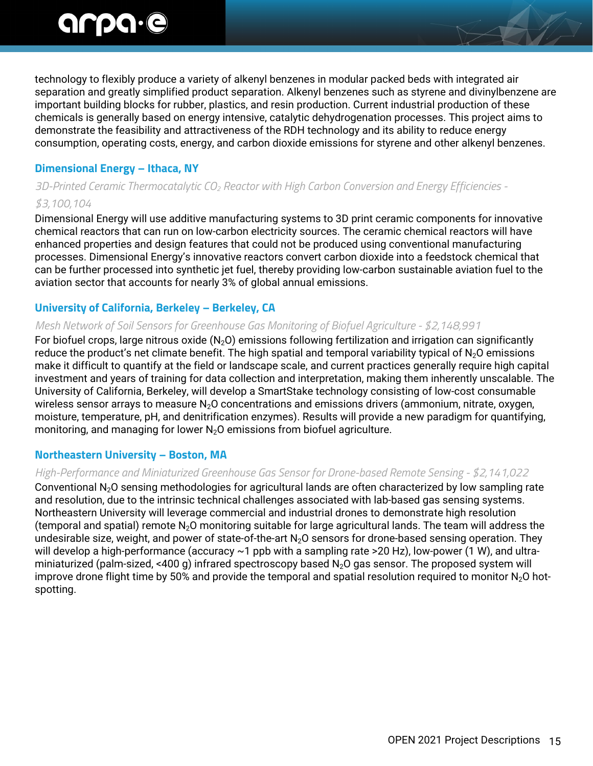technology to flexibly produce a variety of alkenyl benzenes in modular packed beds with integrated air separation and greatly simplified product separation. Alkenyl benzenes such as styrene and divinylbenzene are important building blocks for rubber, plastics, and resin production. Current industrial production of these chemicals is generally based on energy intensive, catalytic dehydrogenation processes. This project aims to demonstrate the feasibility and attractiveness of the RDH technology and its ability to reduce energy consumption, operating costs, energy, and carbon dioxide emissions for styrene and other alkenyl benzenes.

# **Dimensional Energy – Ithaca, NY**

# *3D-Printed Ceramic Thermocatalytic CO2 Reactor with High Carbon Conversion and Energy Efficiencies - \$3,100,104*

Dimensional Energy will use additive manufacturing systems to 3D print ceramic components for innovative chemical reactors that can run on low-carbon electricity sources. The ceramic chemical reactors will have enhanced properties and design features that could not be produced using conventional manufacturing processes. Dimensional Energy's innovative reactors convert carbon dioxide into a feedstock chemical that can be further processed into synthetic jet fuel, thereby providing low-carbon sustainable aviation fuel to the aviation sector that accounts for nearly 3% of global annual emissions.

# **University of California, Berkeley – Berkeley, CA**

#### *Mesh Network of Soil Sensors for Greenhouse Gas Monitoring of Biofuel Agriculture - \$2,148,991*

For biofuel crops, large nitrous oxide  $(N_2O)$  emissions following fertilization and irrigation can significantly reduce the product's net climate benefit. The high spatial and temporal variability typical of  $N_2O$  emissions make it difficult to quantify at the field or landscape scale, and current practices generally require high capital investment and years of training for data collection and interpretation, making them inherently unscalable. The University of California, Berkeley, will develop a SmartStake technology consisting of low-cost consumable wireless sensor arrays to measure  $N_2O$  concentrations and emissions drivers (ammonium, nitrate, oxygen, moisture, temperature, pH, and denitrification enzymes). Results will provide a new paradigm for quantifying, monitoring, and managing for lower  $N_2O$  emissions from biofuel agriculture.

# **Northeastern University – Boston, MA**

# *High-Performance and Miniaturized Greenhouse Gas Sensor for Drone-based Remote Sensing - \$2,141,022*

Conventional N2O sensing methodologies for agricultural lands are often characterized by low sampling rate and resolution, due to the intrinsic technical challenges associated with lab-based gas sensing systems. Northeastern University will leverage commercial and industrial drones to demonstrate high resolution (temporal and spatial) remote  $N<sub>2</sub>O$  monitoring suitable for large agricultural lands. The team will address the undesirable size, weight, and power of state-of-the-art N<sub>2</sub>O sensors for drone-based sensing operation. They will develop a high-performance (accuracy ~1 ppb with a sampling rate >20 Hz), low-power (1 W), and ultraminiaturized (palm-sized, <400 g) infrared spectroscopy based  $N_2O$  gas sensor. The proposed system will improve drone flight time by 50% and provide the temporal and spatial resolution required to monitor  $N_2O$  hotspotting.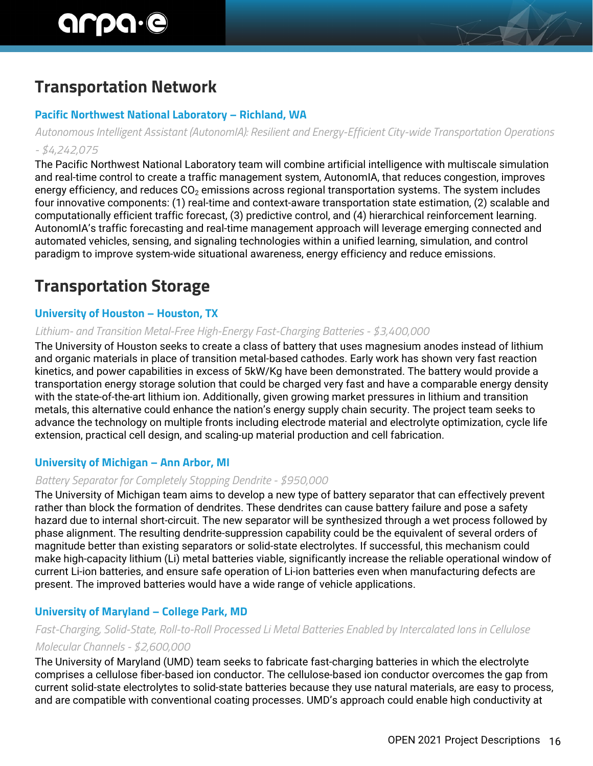# **Transportation Network**

# **Pacific Northwest National Laboratory – Richland, WA**

*Autonomous Intelligent Assistant (AutonomIA): Resilient and Energy-Efficient City-wide Transportation Operations - \$4,242,075*

The Pacific Northwest National Laboratory team will combine artificial intelligence with multiscale simulation and real-time control to create a traffic management system, AutonomIA, that reduces congestion, improves energy efficiency, and reduces  $CO<sub>2</sub>$  emissions across regional transportation systems. The system includes four innovative components: (1) real-time and context-aware transportation state estimation, (2) scalable and computationally efficient traffic forecast, (3) predictive control, and (4) hierarchical reinforcement learning. AutonomIA's traffic forecasting and real-time management approach will leverage emerging connected and automated vehicles, sensing, and signaling technologies within a unified learning, simulation, and control paradigm to improve system-wide situational awareness, energy efficiency and reduce emissions.

# **Transportation Storage**

# **University of Houston – Houston, TX**

#### *Lithium- and Transition Metal-Free High-Energy Fast-Charging Batteries - \$3,400,000*

The University of Houston seeks to create a class of battery that uses magnesium anodes instead of lithium and organic materials in place of transition metal-based cathodes. Early work has shown very fast reaction kinetics, and power capabilities in excess of 5kW/Kg have been demonstrated. The battery would provide a transportation energy storage solution that could be charged very fast and have a comparable energy density with the state-of-the-art lithium ion. Additionally, given growing market pressures in lithium and transition metals, this alternative could enhance the nation's energy supply chain security. The project team seeks to advance the technology on multiple fronts including electrode material and electrolyte optimization, cycle life extension, practical cell design, and scaling-up material production and cell fabrication.

# **University of Michigan – Ann Arbor, MI**

#### *Battery Separator for Completely Stopping Dendrite - \$950,000*

The University of Michigan team aims to develop a new type of battery separator that can effectively prevent rather than block the formation of dendrites. These dendrites can cause battery failure and pose a safety hazard due to internal short-circuit. The new separator will be synthesized through a wet process followed by phase alignment. The resulting dendrite-suppression capability could be the equivalent of several orders of magnitude better than existing separators or solid-state electrolytes. If successful, this mechanism could make high-capacity lithium (Li) metal batteries viable, significantly increase the reliable operational window of current Li-ion batteries, and ensure safe operation of Li-ion batteries even when manufacturing defects are present. The improved batteries would have a wide range of vehicle applications.

# **University of Maryland – College Park, MD**

# *Fast-Charging, Solid-State, Roll-to-Roll Processed Li Metal Batteries Enabled by Intercalated Ions in Cellulose Molecular Channels - \$2,600,000*

The University of Maryland (UMD) team seeks to fabricate fast-charging batteries in which the electrolyte comprises a cellulose fiber-based ion conductor. The cellulose-based ion conductor overcomes the gap from current solid-state electrolytes to solid-state batteries because they use natural materials, are easy to process, and are compatible with conventional coating processes. UMD's approach could enable high conductivity at

AVI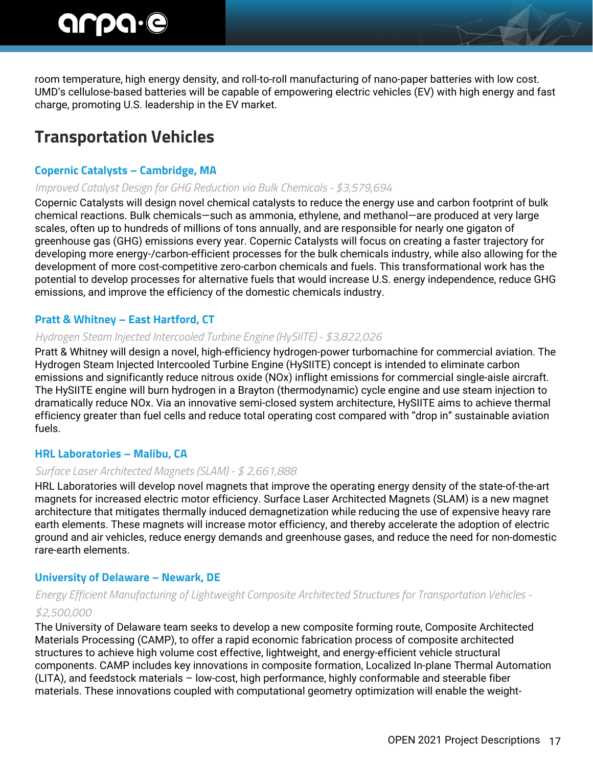room temperature, high energy density, and roll-to-roll manufacturing of nano-paper batteries with low cost. UMD's cellulose-based batteries will be capable of empowering electric vehicles (EV) with high energy and fast charge, promoting U.S. leadership in the EV market.

# **Transportation Vehicles**

# **Copernic Catalysts – Cambridge, MA**

# *Improved Catalyst Design for GHG Reduction via Bulk Chemicals - \$3,579,694*

Copernic Catalysts will design novel chemical catalysts to reduce the energy use and carbon footprint of bulk chemical reactions. Bulk chemicals—such as ammonia, ethylene, and methanol—are produced at very large scales, often up to hundreds of millions of tons annually, and are responsible for nearly one gigaton of greenhouse gas (GHG) emissions every year. Copernic Catalysts will focus on creating a faster trajectory for developing more energy-/carbon-efficient processes for the bulk chemicals industry, while also allowing for the development of more cost-competitive zero-carbon chemicals and fuels. This transformational work has the potential to develop processes for alternative fuels that would increase U.S. energy independence, reduce GHG emissions, and improve the efficiency of the domestic chemicals industry.

# **Pratt & Whitney – East Hartford, CT**

# *Hydrogen Steam Injected Intercooled Turbine Engine (HySIITE) - \$3,822,026*

Pratt & Whitney will design a novel, high-efficiency hydrogen-power turbomachine for commercial aviation. The Hydrogen Steam Injected Intercooled Turbine Engine (HySIITE) concept is intended to eliminate carbon emissions and significantly reduce nitrous oxide (NOx) inflight emissions for commercial single-aisle aircraft. The HySIITE engine will burn hydrogen in a Brayton (thermodynamic) cycle engine and use steam injection to dramatically reduce NOx. Via an innovative semi-closed system architecture, HySIITE aims to achieve thermal efficiency greater than fuel cells and reduce total operating cost compared with "drop in" sustainable aviation fuels.

# **HRL Laboratories – Malibu, CA**

# *Surface Laser Architected Magnets (SLAM) - \$ 2,661,888*

HRL Laboratories will develop novel magnets that improve the operating energy density of the state-of-the-art magnets for increased electric motor efficiency. Surface Laser Architected Magnets (SLAM) is a new magnet architecture that mitigates thermally induced demagnetization while reducing the use of expensive heavy rare earth elements. These magnets will increase motor efficiency, and thereby accelerate the adoption of electric ground and air vehicles, reduce energy demands and greenhouse gases, and reduce the need for non-domestic rare-earth elements.

# **University of Delaware – Newark, DE**

# *Energy Efficient Manufacturing of Lightweight Composite Architected Structures for Transportation Vehicles - \$2,500,000*

The University of Delaware team seeks to develop a new composite forming route, Composite Architected Materials Processing (CAMP), to offer a rapid economic fabrication process of composite architected structures to achieve high volume cost effective, lightweight, and energy-efficient vehicle structural components. CAMP includes key innovations in composite formation, Localized In-plane Thermal Automation (LITA), and feedstock materials – low-cost, high performance, highly conformable and steerable fiber materials. These innovations coupled with computational geometry optimization will enable the weight-